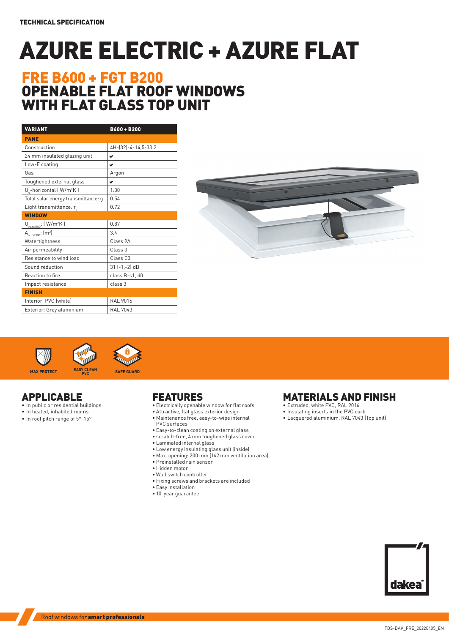# AZURE ELECTRIC + AZURE FLAT

## FRE B600 + FGT B200 OPENABLE FLAT ROOF WINDOWS WITH FLAT GLASS TOP UNIT

| <b>VARIANT</b>                          | B600+B200           |  |  |  |  |
|-----------------------------------------|---------------------|--|--|--|--|
| <b>PANE</b>                             |                     |  |  |  |  |
| Construction                            | 4H-(32)-4-14,5-33.2 |  |  |  |  |
| 24 mm insulated glazing unit            | ✔                   |  |  |  |  |
| Low-E coating                           | v                   |  |  |  |  |
| Gas                                     | Argon               |  |  |  |  |
| Toughened external glass                | ✔                   |  |  |  |  |
| U .- horizontal (W/m <sup>2</sup> K)    | 1.30                |  |  |  |  |
| Total solar energy transmittance: g     | 0.54                |  |  |  |  |
| Light transmittance: T                  | 0.72                |  |  |  |  |
| <b>WINDOW</b>                           |                     |  |  |  |  |
| $U_{re, ref300}$ : (W/m <sup>2</sup> K) | 0.87                |  |  |  |  |
| $A_{rec.ref300}$ : $(m2)$               | 3.4                 |  |  |  |  |
| Watertightness                          | Class 9A            |  |  |  |  |
| Air permeability                        | Class <sub>3</sub>  |  |  |  |  |
| Resistance to wind load                 | Class <sub>C3</sub> |  |  |  |  |
| Sound reduction                         | $31$ $(-1, -2)$ dB  |  |  |  |  |
| Reaction to fire                        | class B-s1, d0      |  |  |  |  |
| Impact resistance                       | class 3             |  |  |  |  |
| <b>FINISH</b>                           |                     |  |  |  |  |
| Interior: PVC (white)                   | <b>RAL 9016</b>     |  |  |  |  |
| Exterior: Grey aluminium                | <b>RAL 7043</b>     |  |  |  |  |







- APPLICABLE
- In public or residential buildings • In heated, inhabited rooms
- In roof pitch range of 5°-15°

### FEATURES

- Electrically openable window for flat roofs
- Attractive, flat glass exterior design
- Maintenance free, easy-to-wipe internal
- PVC surfaces
- Easy-to-clean coating on external glass • scratch-free, 4 mm toughened glass cover
- Laminated internal glass
- Low energy insulating glass unit (inside)
- Max. opening: 200 mm (142 mm ventilation area)
- Preinstalled rain sensor
- Hidden motor
- Wall switch controller
- Fixing screws and brackets are included
- Easy installation
- 10-year guarantee

### MATERIALS AND FINISH

- Extruded, white PVC, RAL 9016
- Insulating inserts in the PVC curb
- Lacquered aluminium, RAL 7043 (Top unit)